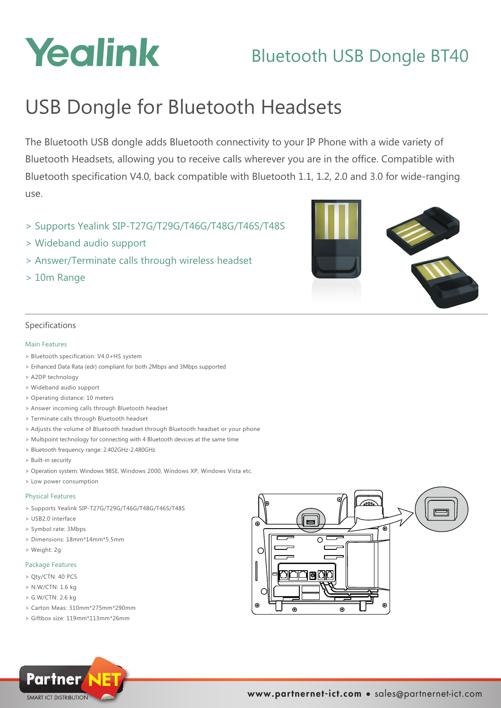# Yealink

# Bluetooth USB Dongle BT40

# USB Dongle for Bluetooth Headsets

The Bluetooth USB dongle adds Bluetooth connectivity to your IP Phone with a wide variety of Bluetooth Headsets, allowing you to receive calls wherever you are in the office. Compatible with Bluetooth specification V4.0, back compatible with Bluetooth 1.1, 1.2, 2.0 and 3.0 for wide-ranging use.

- > Supports Yealink SIP-T27G/T29G/T46G/T48G/T46S/T48S
- > Wideband audio support
- > Answer/Terminate calls through wireless headset
- > 10m Range



## Specifications

#### Main Features

- > Bluetooth specification: V4.0+HS system
- > Enhanced Data Rata (edr) compliant for both 2Mbps and 3Mbps supported
- > A2DP technology
- > Wideband audio support
- > Operating distance: 10 meters
- > Answer incoming calls through Bluetooth headset
- > Terminate calls through Bluetooth headset
- > Adjusts the volume of Bluetooth headset through Bluetooth headset or your phone
- > Multipoint technology for connecting with 4 Bluetooth devices at the same time
- > Bluetooth frequency range: 2.402GHz-2.480GHz
- > Built-in security
- > Operation system: Windows 98SE, Windows 2000, Windows XP, Windows Vista etc.
- > Low power consumption

#### Physical Features

- > Supports Yealink SIP-T27G/T29G/T46G/T48G/T46S/T48S
- > USB2.0 interface
- > Symbol rate: 3Mbps
- > Dimensions: 18mm\*14mm\*5.5mm
- > Weight: 2g

#### Package Features

- > Qty/CTN: 40 PCS
- > N.W/CTN: 1.6 kg
- > G.W/CTN: 2.6 kg
- > Carton Meas: 310mm\*275mm\*290mm
- > Giftbox size: 119mm\*113mm\*26mm